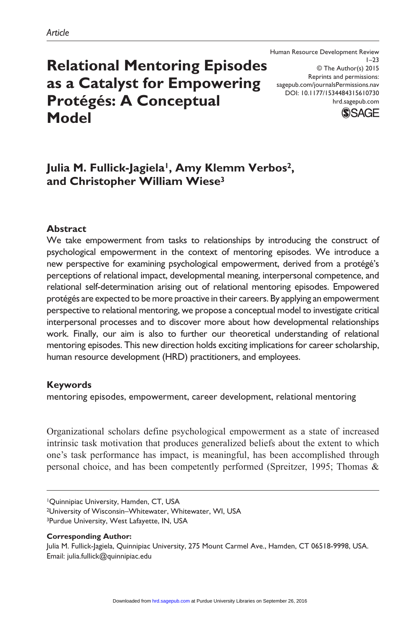# **Relational Mentoring Episodes as a Catalyst for Empowering Protégés: A Conceptual Model**

Human Resource Development Review  $1 - 23$ © The Author(s) 2015 Reprints and permissions: sagepub.com/journalsPermissions.nav DOI: 10.1177/1534484315610730 hrd.sagepub.com



# Julia M. Fullick-Jagiela<sup>1</sup>, Amy Klemm Verbos<sup>2</sup>, **and Christopher William Wiese3**

#### **Abstract**

We take empowerment from tasks to relationships by introducing the construct of psychological empowerment in the context of mentoring episodes. We introduce a new perspective for examining psychological empowerment, derived from a protégé's perceptions of relational impact, developmental meaning, interpersonal competence, and relational self-determination arising out of relational mentoring episodes. Empowered protégés are expected to be more proactive in their careers. By applying an empowerment perspective to relational mentoring, we propose a conceptual model to investigate critical interpersonal processes and to discover more about how developmental relationships work. Finally, our aim is also to further our theoretical understanding of relational mentoring episodes. This new direction holds exciting implications for career scholarship, human resource development (HRD) practitioners, and employees.

#### **Keywords**

mentoring episodes, empowerment, career development, relational mentoring

Organizational scholars define psychological empowerment as a state of increased intrinsic task motivation that produces generalized beliefs about the extent to which one's task performance has impact, is meaningful, has been accomplished through personal choice, and has been competently performed (Spreitzer, 1995; Thomas &

2University of Wisconsin–Whitewater, Whitewater, WI, USA 3Purdue University, West Lafayette, IN, USA

**Corresponding Author:**

<sup>1</sup>Quinnipiac University, Hamden, CT, USA

Julia M. Fullick-Jagiela, Quinnipiac University, 275 Mount Carmel Ave., Hamden, CT 06518-9998, USA. Email: [julia.fullick@quinnipiac.edu](mailto:julia.fullick@quinnipiac.edu)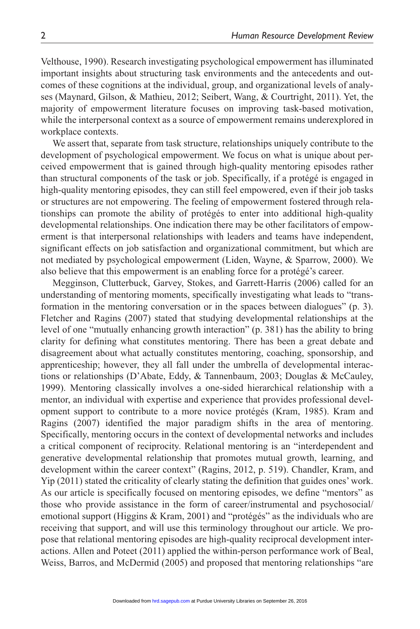Velthouse, 1990). Research investigating psychological empowerment has illuminated important insights about structuring task environments and the antecedents and outcomes of these cognitions at the individual, group, and organizational levels of analyses (Maynard, Gilson, & Mathieu, 2012; Seibert, Wang, & Courtright, 2011). Yet, the majority of empowerment literature focuses on improving task-based motivation, while the interpersonal context as a source of empowerment remains underexplored in workplace contexts.

We assert that, separate from task structure, relationships uniquely contribute to the development of psychological empowerment. We focus on what is unique about perceived empowerment that is gained through high-quality mentoring episodes rather than structural components of the task or job. Specifically, if a protégé is engaged in high-quality mentoring episodes, they can still feel empowered, even if their job tasks or structures are not empowering. The feeling of empowerment fostered through relationships can promote the ability of protégés to enter into additional high-quality developmental relationships. One indication there may be other facilitators of empowerment is that interpersonal relationships with leaders and teams have independent, significant effects on job satisfaction and organizational commitment, but which are not mediated by psychological empowerment (Liden, Wayne, & Sparrow, 2000). We also believe that this empowerment is an enabling force for a protégé's career.

Megginson, Clutterbuck, Garvey, Stokes, and Garrett-Harris (2006) called for an understanding of mentoring moments, specifically investigating what leads to "transformation in the mentoring conversation or in the spaces between dialogues" (p. 3). Fletcher and Ragins (2007) stated that studying developmental relationships at the level of one "mutually enhancing growth interaction" (p. 381) has the ability to bring clarity for defining what constitutes mentoring. There has been a great debate and disagreement about what actually constitutes mentoring, coaching, sponsorship, and apprenticeship; however, they all fall under the umbrella of developmental interactions or relationships (D'Abate, Eddy, & Tannenbaum, 2003; Douglas & McCauley, 1999). Mentoring classically involves a one-sided hierarchical relationship with a mentor, an individual with expertise and experience that provides professional development support to contribute to a more novice protégés (Kram, 1985). Kram and Ragins (2007) identified the major paradigm shifts in the area of mentoring. Specifically, mentoring occurs in the context of developmental networks and includes a critical component of reciprocity. Relational mentoring is an "interdependent and generative developmental relationship that promotes mutual growth, learning, and development within the career context" (Ragins, 2012, p. 519). Chandler, Kram, and Yip (2011) stated the criticality of clearly stating the definition that guides ones' work. As our article is specifically focused on mentoring episodes, we define "mentors" as those who provide assistance in the form of career/instrumental and psychosocial/ emotional support (Higgins & Kram, 2001) and "protégés" as the individuals who are receiving that support, and will use this terminology throughout our article. We propose that relational mentoring episodes are high-quality reciprocal development interactions. Allen and Poteet (2011) applied the within-person performance work of Beal, Weiss, Barros, and McDermid (2005) and proposed that mentoring relationships "are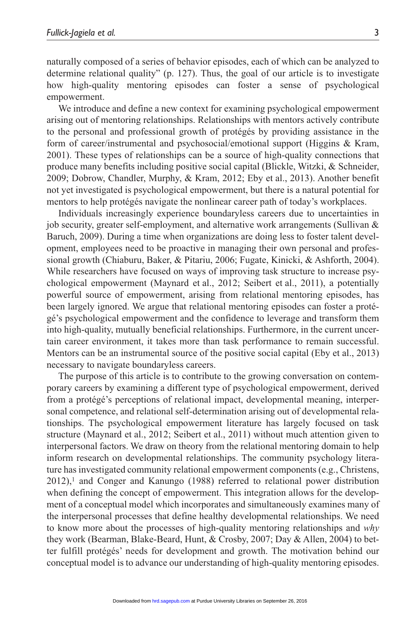how high-quality mentoring episodes can foster a sense of psychological empowerment. We introduce and define a new context for examining psychological empowerment arising out of mentoring relationships. Relationships with mentors actively contribute to the personal and professional growth of protégés by providing assistance in the form of career/instrumental and psychosocial/emotional support (Higgins & Kram, 2001). These types of relationships can be a source of high-quality connections that produce many benefits including positive social capital (Blickle, Witzki, & Schneider, 2009; Dobrow, Chandler, Murphy, & Kram, 2012; Eby et al., 2013). Another benefit not yet investigated is psychological empowerment, but there is a natural potential for

mentors to help protégés navigate the nonlinear career path of today's workplaces.

Individuals increasingly experience boundaryless careers due to uncertainties in job security, greater self-employment, and alternative work arrangements (Sullivan & Baruch, 2009). During a time when organizations are doing less to foster talent development, employees need to be proactive in managing their own personal and professional growth (Chiaburu, Baker, & Pitariu, 2006; Fugate, Kinicki, & Ashforth, 2004). While researchers have focused on ways of improving task structure to increase psychological empowerment (Maynard et al., 2012; Seibert et al., 2011), a potentially powerful source of empowerment, arising from relational mentoring episodes, has been largely ignored. We argue that relational mentoring episodes can foster a protégé's psychological empowerment and the confidence to leverage and transform them into high-quality, mutually beneficial relationships. Furthermore, in the current uncertain career environment, it takes more than task performance to remain successful. Mentors can be an instrumental source of the positive social capital (Eby et al., 2013) necessary to navigate boundaryless careers.

The purpose of this article is to contribute to the growing conversation on contemporary careers by examining a different type of psychological empowerment, derived from a protégé's perceptions of relational impact, developmental meaning, interpersonal competence, and relational self-determination arising out of developmental relationships. The psychological empowerment literature has largely focused on task structure (Maynard et al., 2012; Seibert et al., 2011) without much attention given to interpersonal factors. We draw on theory from the relational mentoring domain to help inform research on developmental relationships. The community psychology literature has investigated community relational empowerment components (e.g., Christens,  $2012$ ),<sup>1</sup> and Conger and Kanungo (1988) referred to relational power distribution when defining the concept of empowerment. This integration allows for the development of a conceptual model which incorporates and simultaneously examines many of the interpersonal processes that define healthy developmental relationships. We need to know more about the processes of high-quality mentoring relationships and *why* they work (Bearman, Blake-Beard, Hunt, & Crosby, 2007; Day & Allen, 2004) to better fulfill protégés' needs for development and growth. The motivation behind our conceptual model is to advance our understanding of high-quality mentoring episodes.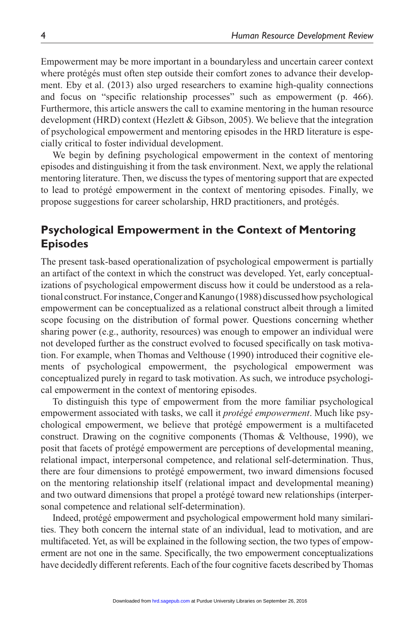Empowerment may be more important in a boundaryless and uncertain career context where protégés must often step outside their comfort zones to advance their development. Eby et al. (2013) also urged researchers to examine high-quality connections and focus on "specific relationship processes" such as empowerment (p. 466). Furthermore, this article answers the call to examine mentoring in the human resource development (HRD) context (Hezlett & Gibson, 2005). We believe that the integration of psychological empowerment and mentoring episodes in the HRD literature is especially critical to foster individual development.

We begin by defining psychological empowerment in the context of mentoring episodes and distinguishing it from the task environment. Next, we apply the relational mentoring literature. Then, we discuss the types of mentoring support that are expected to lead to protégé empowerment in the context of mentoring episodes. Finally, we propose suggestions for career scholarship, HRD practitioners, and protégés.

# **Psychological Empowerment in the Context of Mentoring Episodes**

The present task-based operationalization of psychological empowerment is partially an artifact of the context in which the construct was developed. Yet, early conceptualizations of psychological empowerment discuss how it could be understood as a relational construct. For instance, Conger and Kanungo (1988) discussed how psychological empowerment can be conceptualized as a relational construct albeit through a limited scope focusing on the distribution of formal power. Questions concerning whether sharing power (e.g., authority, resources) was enough to empower an individual were not developed further as the construct evolved to focused specifically on task motivation. For example, when Thomas and Velthouse (1990) introduced their cognitive elements of psychological empowerment, the psychological empowerment was conceptualized purely in regard to task motivation. As such, we introduce psychological empowerment in the context of mentoring episodes.

To distinguish this type of empowerment from the more familiar psychological empowerment associated with tasks, we call it *protégé empowerment*. Much like psychological empowerment, we believe that protégé empowerment is a multifaceted construct. Drawing on the cognitive components (Thomas & Velthouse, 1990), we posit that facets of protégé empowerment are perceptions of developmental meaning, relational impact, interpersonal competence, and relational self-determination. Thus, there are four dimensions to protégé empowerment, two inward dimensions focused on the mentoring relationship itself (relational impact and developmental meaning) and two outward dimensions that propel a protégé toward new relationships (interpersonal competence and relational self-determination).

Indeed, protégé empowerment and psychological empowerment hold many similarities. They both concern the internal state of an individual, lead to motivation, and are multifaceted. Yet, as will be explained in the following section, the two types of empowerment are not one in the same. Specifically, the two empowerment conceptualizations have decidedly different referents. Each of the four cognitive facets described by Thomas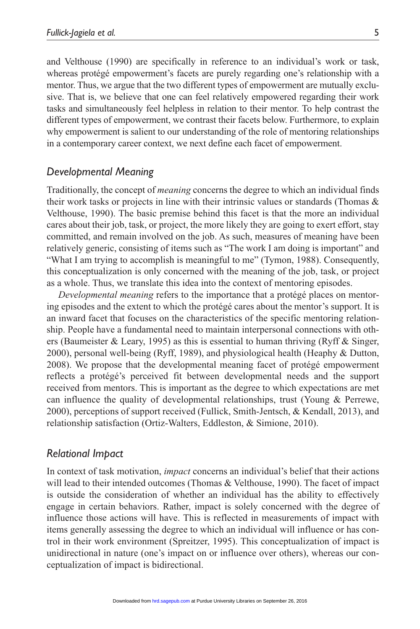and Velthouse (1990) are specifically in reference to an individual's work or task, whereas protégé empowerment's facets are purely regarding one's relationship with a mentor. Thus, we argue that the two different types of empowerment are mutually exclusive. That is, we believe that one can feel relatively empowered regarding their work tasks and simultaneously feel helpless in relation to their mentor. To help contrast the different types of empowerment, we contrast their facets below. Furthermore, to explain why empowerment is salient to our understanding of the role of mentoring relationships in a contemporary career context, we next define each facet of empowerment.

#### *Developmental Meaning*

Traditionally, the concept of *meaning* concerns the degree to which an individual finds their work tasks or projects in line with their intrinsic values or standards (Thomas & Velthouse, 1990). The basic premise behind this facet is that the more an individual cares about their job, task, or project, the more likely they are going to exert effort, stay committed, and remain involved on the job. As such, measures of meaning have been relatively generic, consisting of items such as "The work I am doing is important" and "What I am trying to accomplish is meaningful to me" (Tymon, 1988). Consequently, this conceptualization is only concerned with the meaning of the job, task, or project as a whole. Thus, we translate this idea into the context of mentoring episodes.

*Developmental meaning* refers to the importance that a protégé places on mentoring episodes and the extent to which the protégé cares about the mentor's support. It is an inward facet that focuses on the characteristics of the specific mentoring relationship. People have a fundamental need to maintain interpersonal connections with others (Baumeister & Leary, 1995) as this is essential to human thriving (Ryff  $\&$  Singer, 2000), personal well-being (Ryff, 1989), and physiological health (Heaphy & Dutton, 2008). We propose that the developmental meaning facet of protégé empowerment reflects a protégé's perceived fit between developmental needs and the support received from mentors. This is important as the degree to which expectations are met can influence the quality of developmental relationships, trust (Young & Perrewe, 2000), perceptions of support received (Fullick, Smith-Jentsch, & Kendall, 2013), and relationship satisfaction (Ortiz-Walters, Eddleston, & Simione, 2010).

#### *Relational Impact*

In context of task motivation, *impact* concerns an individual's belief that their actions will lead to their intended outcomes (Thomas & Velthouse, 1990). The facet of impact is outside the consideration of whether an individual has the ability to effectively engage in certain behaviors. Rather, impact is solely concerned with the degree of influence those actions will have. This is reflected in measurements of impact with items generally assessing the degree to which an individual will influence or has control in their work environment (Spreitzer, 1995). This conceptualization of impact is unidirectional in nature (one's impact on or influence over others), whereas our conceptualization of impact is bidirectional.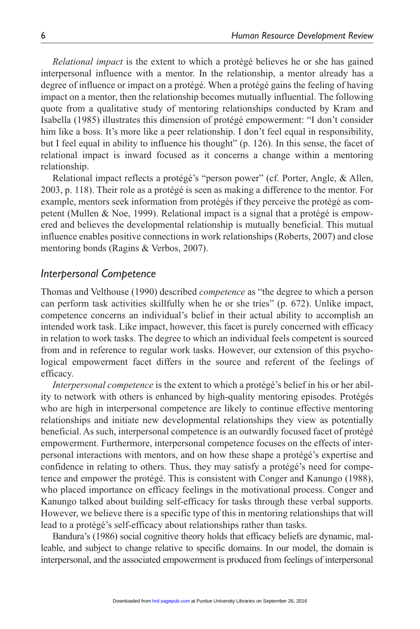*Relational impact* is the extent to which a protégé believes he or she has gained interpersonal influence with a mentor. In the relationship, a mentor already has a degree of influence or impact on a protégé. When a protégé gains the feeling of having impact on a mentor, then the relationship becomes mutually influential. The following quote from a qualitative study of mentoring relationships conducted by Kram and Isabella (1985) illustrates this dimension of protégé empowerment: "I don't consider him like a boss. It's more like a peer relationship. I don't feel equal in responsibility, but I feel equal in ability to influence his thought" (p. 126). In this sense, the facet of relational impact is inward focused as it concerns a change within a mentoring relationship.

Relational impact reflects a protégé's "person power" (cf. Porter, Angle, & Allen, 2003, p. 118). Their role as a protégé is seen as making a difference to the mentor. For example, mentors seek information from protégés if they perceive the protégé as competent (Mullen & Noe, 1999). Relational impact is a signal that a protégé is empowered and believes the developmental relationship is mutually beneficial. This mutual influence enables positive connections in work relationships (Roberts, 2007) and close mentoring bonds (Ragins & Verbos, 2007).

#### *Interpersonal Competence*

Thomas and Velthouse (1990) described *competence* as "the degree to which a person can perform task activities skillfully when he or she tries" (p. 672). Unlike impact, competence concerns an individual's belief in their actual ability to accomplish an intended work task. Like impact, however, this facet is purely concerned with efficacy in relation to work tasks. The degree to which an individual feels competent is sourced from and in reference to regular work tasks. However, our extension of this psychological empowerment facet differs in the source and referent of the feelings of efficacy.

*Interpersonal competence* is the extent to which a protégé's belief in his or her ability to network with others is enhanced by high-quality mentoring episodes. Protégés who are high in interpersonal competence are likely to continue effective mentoring relationships and initiate new developmental relationships they view as potentially beneficial. As such, interpersonal competence is an outwardly focused facet of protégé empowerment. Furthermore, interpersonal competence focuses on the effects of interpersonal interactions with mentors, and on how these shape a protégé's expertise and confidence in relating to others. Thus, they may satisfy a protégé's need for competence and empower the protégé. This is consistent with Conger and Kanungo (1988), who placed importance on efficacy feelings in the motivational process. Conger and Kanungo talked about building self-efficacy for tasks through these verbal supports. However, we believe there is a specific type of this in mentoring relationships that will lead to a protégé's self-efficacy about relationships rather than tasks.

Bandura's (1986) social cognitive theory holds that efficacy beliefs are dynamic, malleable, and subject to change relative to specific domains. In our model, the domain is interpersonal, and the associated empowerment is produced from feelings of interpersonal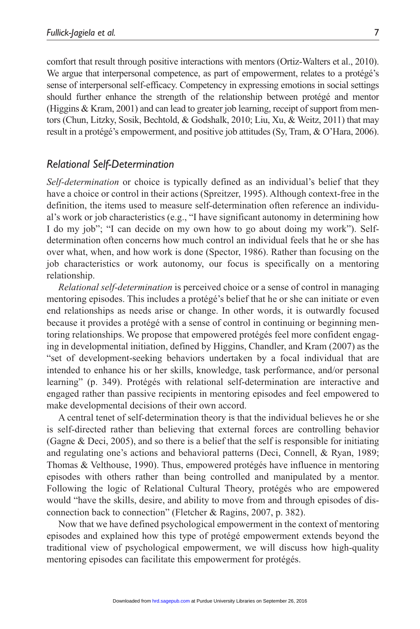comfort that result through positive interactions with mentors (Ortiz-Walters et al., 2010). We argue that interpersonal competence, as part of empowerment, relates to a protégé's sense of interpersonal self-efficacy. Competency in expressing emotions in social settings should further enhance the strength of the relationship between protégé and mentor (Higgins & Kram, 2001) and can lead to greater job learning, receipt of support from mentors (Chun, Litzky, Sosik, Bechtold, & Godshalk, 2010; Liu, Xu, & Weitz, 2011) that may result in a protégé's empowerment, and positive job attitudes (Sy, Tram, & O'Hara, 2006).

#### *Relational Self-Determination*

*Self-determination* or choice is typically defined as an individual's belief that they have a choice or control in their actions (Spreitzer, 1995). Although context-free in the definition, the items used to measure self-determination often reference an individual's work or job characteristics (e.g., "I have significant autonomy in determining how I do my job"; "I can decide on my own how to go about doing my work"). Selfdetermination often concerns how much control an individual feels that he or she has over what, when, and how work is done (Spector, 1986). Rather than focusing on the job characteristics or work autonomy, our focus is specifically on a mentoring relationship.

*Relational self-determination* is perceived choice or a sense of control in managing mentoring episodes. This includes a protégé's belief that he or she can initiate or even end relationships as needs arise or change. In other words, it is outwardly focused because it provides a protégé with a sense of control in continuing or beginning mentoring relationships. We propose that empowered protégés feel more confident engaging in developmental initiation, defined by Higgins, Chandler, and Kram (2007) as the "set of development-seeking behaviors undertaken by a focal individual that are intended to enhance his or her skills, knowledge, task performance, and/or personal learning" (p. 349). Protégés with relational self-determination are interactive and engaged rather than passive recipients in mentoring episodes and feel empowered to make developmental decisions of their own accord.

A central tenet of self-determination theory is that the individual believes he or she is self-directed rather than believing that external forces are controlling behavior (Gagne & Deci, 2005), and so there is a belief that the self is responsible for initiating and regulating one's actions and behavioral patterns (Deci, Connell, & Ryan, 1989; Thomas & Velthouse, 1990). Thus, empowered protégés have influence in mentoring episodes with others rather than being controlled and manipulated by a mentor. Following the logic of Relational Cultural Theory, protégés who are empowered would "have the skills, desire, and ability to move from and through episodes of disconnection back to connection" (Fletcher & Ragins, 2007, p. 382).

Now that we have defined psychological empowerment in the context of mentoring episodes and explained how this type of protégé empowerment extends beyond the traditional view of psychological empowerment, we will discuss how high-quality mentoring episodes can facilitate this empowerment for protégés.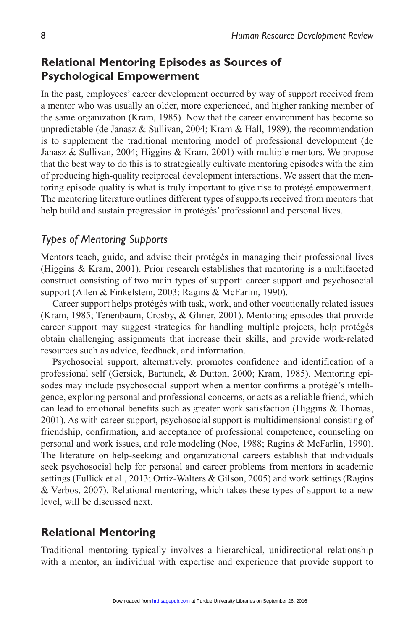# **Relational Mentoring Episodes as Sources of Psychological Empowerment**

In the past, employees' career development occurred by way of support received from a mentor who was usually an older, more experienced, and higher ranking member of the same organization (Kram, 1985). Now that the career environment has become so unpredictable (de Janasz & Sullivan, 2004; Kram & Hall, 1989), the recommendation is to supplement the traditional mentoring model of professional development (de Janasz & Sullivan, 2004; Higgins & Kram, 2001) with multiple mentors. We propose that the best way to do this is to strategically cultivate mentoring episodes with the aim of producing high-quality reciprocal development interactions. We assert that the mentoring episode quality is what is truly important to give rise to protégé empowerment. The mentoring literature outlines different types of supports received from mentors that help build and sustain progression in protégés' professional and personal lives.

# *Types of Mentoring Supports*

Mentors teach, guide, and advise their protégés in managing their professional lives (Higgins & Kram, 2001). Prior research establishes that mentoring is a multifaceted construct consisting of two main types of support: career support and psychosocial support (Allen & Finkelstein, 2003; Ragins & McFarlin, 1990).

Career support helps protégés with task, work, and other vocationally related issues (Kram, 1985; Tenenbaum, Crosby, & Gliner, 2001). Mentoring episodes that provide career support may suggest strategies for handling multiple projects, help protégés obtain challenging assignments that increase their skills, and provide work-related resources such as advice, feedback, and information.

Psychosocial support, alternatively, promotes confidence and identification of a professional self (Gersick, Bartunek, & Dutton, 2000; Kram, 1985). Mentoring episodes may include psychosocial support when a mentor confirms a protégé's intelligence, exploring personal and professional concerns, or acts as a reliable friend, which can lead to emotional benefits such as greater work satisfaction (Higgins & Thomas, 2001). As with career support, psychosocial support is multidimensional consisting of friendship, confirmation, and acceptance of professional competence, counseling on personal and work issues, and role modeling (Noe, 1988; Ragins & McFarlin, 1990). The literature on help-seeking and organizational careers establish that individuals seek psychosocial help for personal and career problems from mentors in academic settings (Fullick et al., 2013; Ortiz-Walters & Gilson, 2005) and work settings (Ragins & Verbos, 2007). Relational mentoring, which takes these types of support to a new level, will be discussed next.

# **Relational Mentoring**

Traditional mentoring typically involves a hierarchical, unidirectional relationship with a mentor, an individual with expertise and experience that provide support to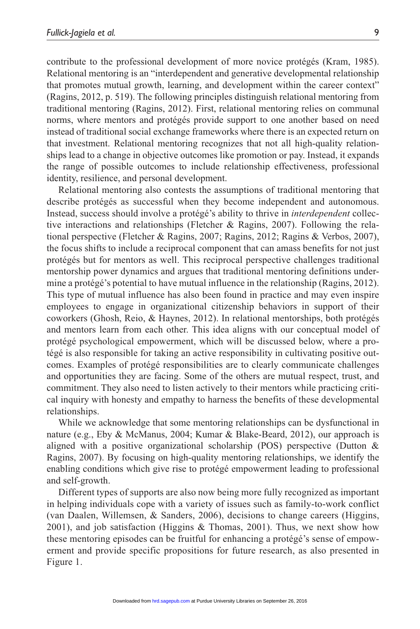contribute to the professional development of more novice protégés (Kram, 1985). Relational mentoring is an "interdependent and generative developmental relationship that promotes mutual growth, learning, and development within the career context" (Ragins, 2012, p. 519). The following principles distinguish relational mentoring from traditional mentoring (Ragins, 2012). First, relational mentoring relies on communal norms, where mentors and protégés provide support to one another based on need instead of traditional social exchange frameworks where there is an expected return on that investment. Relational mentoring recognizes that not all high-quality relationships lead to a change in objective outcomes like promotion or pay. Instead, it expands the range of possible outcomes to include relationship effectiveness, professional identity, resilience, and personal development.

Relational mentoring also contests the assumptions of traditional mentoring that describe protégés as successful when they become independent and autonomous. Instead, success should involve a protégé's ability to thrive in *interdependent* collective interactions and relationships (Fletcher & Ragins, 2007). Following the relational perspective (Fletcher & Ragins, 2007; Ragins, 2012; Ragins & Verbos, 2007), the focus shifts to include a reciprocal component that can amass benefits for not just protégés but for mentors as well. This reciprocal perspective challenges traditional mentorship power dynamics and argues that traditional mentoring definitions undermine a protégé's potential to have mutual influence in the relationship (Ragins, 2012). This type of mutual influence has also been found in practice and may even inspire employees to engage in organizational citizenship behaviors in support of their coworkers (Ghosh, Reio, & Haynes, 2012). In relational mentorships, both protégés and mentors learn from each other. This idea aligns with our conceptual model of protégé psychological empowerment, which will be discussed below, where a protégé is also responsible for taking an active responsibility in cultivating positive outcomes. Examples of protégé responsibilities are to clearly communicate challenges and opportunities they are facing. Some of the others are mutual respect, trust, and commitment. They also need to listen actively to their mentors while practicing critical inquiry with honesty and empathy to harness the benefits of these developmental relationships.

While we acknowledge that some mentoring relationships can be dysfunctional in nature (e.g., Eby & McManus, 2004; Kumar & Blake-Beard, 2012), our approach is aligned with a positive organizational scholarship (POS) perspective (Dutton & Ragins, 2007). By focusing on high-quality mentoring relationships, we identify the enabling conditions which give rise to protégé empowerment leading to professional and self-growth.

Different types of supports are also now being more fully recognized as important in helping individuals cope with a variety of issues such as family-to-work conflict (van Daalen, Willemsen, & Sanders, 2006), decisions to change careers (Higgins, 2001), and job satisfaction (Higgins  $\&$  Thomas, 2001). Thus, we next show how these mentoring episodes can be fruitful for enhancing a protégé's sense of empowerment and provide specific propositions for future research, as also presented in Figure 1.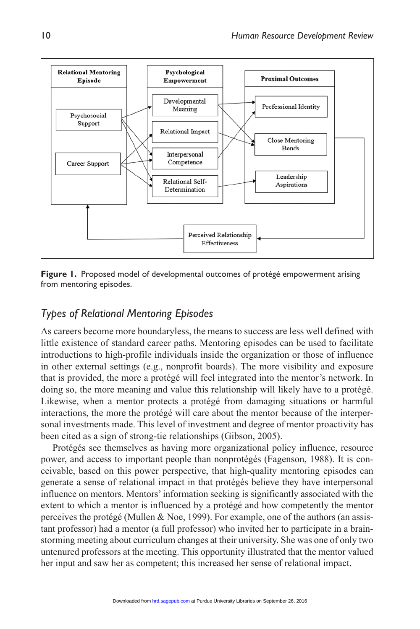

**Figure 1.** Proposed model of developmental outcomes of protégé empowerment arising from mentoring episodes.

#### *Types of Relational Mentoring Episodes*

As careers become more boundaryless, the means to success are less well defined with little existence of standard career paths. Mentoring episodes can be used to facilitate introductions to high-profile individuals inside the organization or those of influence in other external settings (e.g., nonprofit boards). The more visibility and exposure that is provided, the more a protégé will feel integrated into the mentor's network. In doing so, the more meaning and value this relationship will likely have to a protégé. Likewise, when a mentor protects a protégé from damaging situations or harmful interactions, the more the protégé will care about the mentor because of the interpersonal investments made. This level of investment and degree of mentor proactivity has been cited as a sign of strong-tie relationships (Gibson, 2005).

Protégés see themselves as having more organizational policy influence, resource power, and access to important people than nonprotégés (Fagenson, 1988). It is conceivable, based on this power perspective, that high-quality mentoring episodes can generate a sense of relational impact in that protégés believe they have interpersonal influence on mentors. Mentors' information seeking is significantly associated with the extent to which a mentor is influenced by a protégé and how competently the mentor perceives the protégé (Mullen & Noe, 1999). For example, one of the authors (an assistant professor) had a mentor (a full professor) who invited her to participate in a brainstorming meeting about curriculum changes at their university. She was one of only two untenured professors at the meeting. This opportunity illustrated that the mentor valued her input and saw her as competent; this increased her sense of relational impact.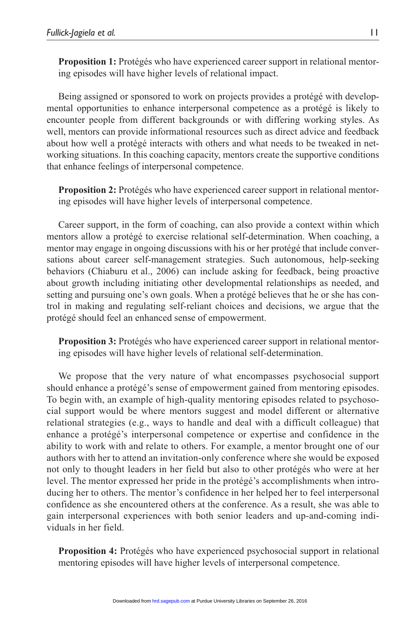**Proposition 1:** Protégés who have experienced career support in relational mentoring episodes will have higher levels of relational impact.

Being assigned or sponsored to work on projects provides a protégé with developmental opportunities to enhance interpersonal competence as a protégé is likely to encounter people from different backgrounds or with differing working styles. As well, mentors can provide informational resources such as direct advice and feedback about how well a protégé interacts with others and what needs to be tweaked in networking situations. In this coaching capacity, mentors create the supportive conditions that enhance feelings of interpersonal competence.

**Proposition 2:** Protégés who have experienced career support in relational mentoring episodes will have higher levels of interpersonal competence.

Career support, in the form of coaching, can also provide a context within which mentors allow a protégé to exercise relational self-determination. When coaching, a mentor may engage in ongoing discussions with his or her protégé that include conversations about career self-management strategies. Such autonomous, help-seeking behaviors (Chiaburu et al., 2006) can include asking for feedback, being proactive about growth including initiating other developmental relationships as needed, and setting and pursuing one's own goals. When a protégé believes that he or she has control in making and regulating self-reliant choices and decisions, we argue that the protégé should feel an enhanced sense of empowerment.

**Proposition 3:** Protégés who have experienced career support in relational mentoring episodes will have higher levels of relational self-determination.

We propose that the very nature of what encompasses psychosocial support should enhance a protégé's sense of empowerment gained from mentoring episodes. To begin with, an example of high-quality mentoring episodes related to psychosocial support would be where mentors suggest and model different or alternative relational strategies (e.g., ways to handle and deal with a difficult colleague) that enhance a protégé's interpersonal competence or expertise and confidence in the ability to work with and relate to others. For example, a mentor brought one of our authors with her to attend an invitation-only conference where she would be exposed not only to thought leaders in her field but also to other protégés who were at her level. The mentor expressed her pride in the protégé's accomplishments when introducing her to others. The mentor's confidence in her helped her to feel interpersonal confidence as she encountered others at the conference. As a result, she was able to gain interpersonal experiences with both senior leaders and up-and-coming individuals in her field.

**Proposition 4:** Protégés who have experienced psychosocial support in relational mentoring episodes will have higher levels of interpersonal competence.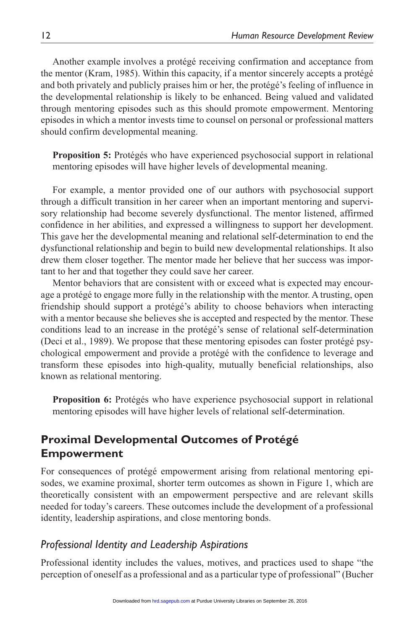Another example involves a protégé receiving confirmation and acceptance from the mentor (Kram, 1985). Within this capacity, if a mentor sincerely accepts a protégé and both privately and publicly praises him or her, the protégé's feeling of influence in the developmental relationship is likely to be enhanced. Being valued and validated through mentoring episodes such as this should promote empowerment. Mentoring episodes in which a mentor invests time to counsel on personal or professional matters should confirm developmental meaning.

**Proposition 5:** Protégés who have experienced psychosocial support in relational mentoring episodes will have higher levels of developmental meaning.

For example, a mentor provided one of our authors with psychosocial support through a difficult transition in her career when an important mentoring and supervisory relationship had become severely dysfunctional. The mentor listened, affirmed confidence in her abilities, and expressed a willingness to support her development. This gave her the developmental meaning and relational self-determination to end the dysfunctional relationship and begin to build new developmental relationships. It also drew them closer together. The mentor made her believe that her success was important to her and that together they could save her career.

Mentor behaviors that are consistent with or exceed what is expected may encourage a protégé to engage more fully in the relationship with the mentor. A trusting, open friendship should support a protégé's ability to choose behaviors when interacting with a mentor because she believes she is accepted and respected by the mentor. These conditions lead to an increase in the protégé's sense of relational self-determination (Deci et al., 1989). We propose that these mentoring episodes can foster protégé psychological empowerment and provide a protégé with the confidence to leverage and transform these episodes into high-quality, mutually beneficial relationships, also known as relational mentoring.

**Proposition 6:** Protégés who have experience psychosocial support in relational mentoring episodes will have higher levels of relational self-determination.

## **Proximal Developmental Outcomes of Protégé Empowerment**

For consequences of protégé empowerment arising from relational mentoring episodes, we examine proximal, shorter term outcomes as shown in Figure 1, which are theoretically consistent with an empowerment perspective and are relevant skills needed for today's careers. These outcomes include the development of a professional identity, leadership aspirations, and close mentoring bonds.

#### *Professional Identity and Leadership Aspirations*

Professional identity includes the values, motives, and practices used to shape "the perception of oneself as a professional and as a particular type of professional" (Bucher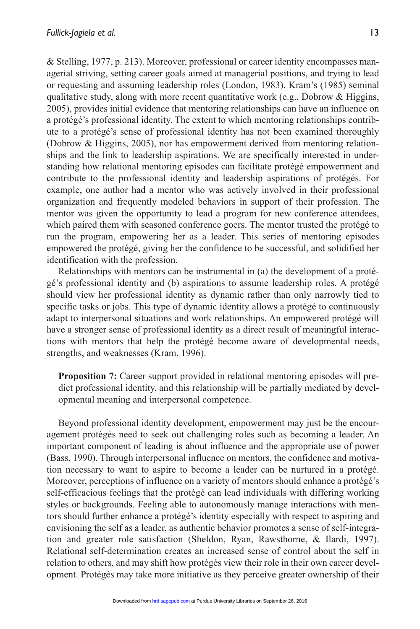& Stelling, 1977, p. 213). Moreover, professional or career identity encompasses managerial striving, setting career goals aimed at managerial positions, and trying to lead or requesting and assuming leadership roles (London, 1983). Kram's (1985) seminal qualitative study, along with more recent quantitative work (e.g., Dobrow  $\&$  Higgins, 2005), provides initial evidence that mentoring relationships can have an influence on a protégé's professional identity. The extent to which mentoring relationships contribute to a protégé's sense of professional identity has not been examined thoroughly (Dobrow & Higgins, 2005), nor has empowerment derived from mentoring relationships and the link to leadership aspirations. We are specifically interested in understanding how relational mentoring episodes can facilitate protégé empowerment and contribute to the professional identity and leadership aspirations of protégés. For example, one author had a mentor who was actively involved in their professional organization and frequently modeled behaviors in support of their profession. The mentor was given the opportunity to lead a program for new conference attendees, which paired them with seasoned conference goers. The mentor trusted the protégé to run the program, empowering her as a leader. This series of mentoring episodes empowered the protégé, giving her the confidence to be successful, and solidified her identification with the profession.

Relationships with mentors can be instrumental in (a) the development of a protégé's professional identity and (b) aspirations to assume leadership roles. A protégé should view her professional identity as dynamic rather than only narrowly tied to specific tasks or jobs. This type of dynamic identity allows a protégé to continuously adapt to interpersonal situations and work relationships. An empowered protégé will have a stronger sense of professional identity as a direct result of meaningful interactions with mentors that help the protégé become aware of developmental needs, strengths, and weaknesses (Kram, 1996).

**Proposition 7:** Career support provided in relational mentoring episodes will predict professional identity, and this relationship will be partially mediated by developmental meaning and interpersonal competence.

Beyond professional identity development, empowerment may just be the encouragement protégés need to seek out challenging roles such as becoming a leader. An important component of leading is about influence and the appropriate use of power (Bass, 1990). Through interpersonal influence on mentors, the confidence and motivation necessary to want to aspire to become a leader can be nurtured in a protégé. Moreover, perceptions of influence on a variety of mentors should enhance a protégé's self-efficacious feelings that the protégé can lead individuals with differing working styles or backgrounds. Feeling able to autonomously manage interactions with mentors should further enhance a protégé's identity especially with respect to aspiring and envisioning the self as a leader, as authentic behavior promotes a sense of self-integration and greater role satisfaction (Sheldon, Ryan, Rawsthorne, & Ilardi, 1997). Relational self-determination creates an increased sense of control about the self in relation to others, and may shift how protégés view their role in their own career development. Protégés may take more initiative as they perceive greater ownership of their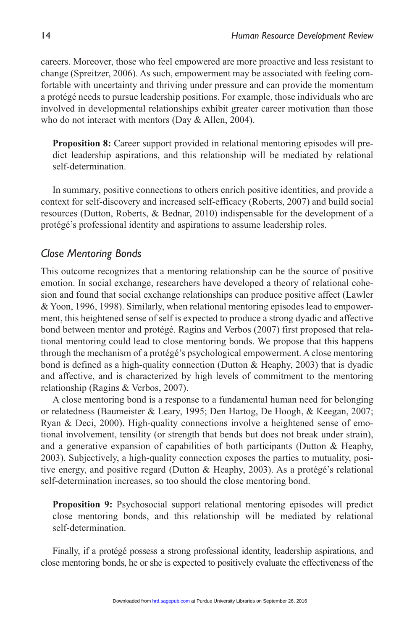careers. Moreover, those who feel empowered are more proactive and less resistant to change (Spreitzer, 2006). As such, empowerment may be associated with feeling comfortable with uncertainty and thriving under pressure and can provide the momentum a protégé needs to pursue leadership positions. For example, those individuals who are involved in developmental relationships exhibit greater career motivation than those who do not interact with mentors (Day & Allen, 2004).

**Proposition 8:** Career support provided in relational mentoring episodes will predict leadership aspirations, and this relationship will be mediated by relational self-determination.

In summary, positive connections to others enrich positive identities, and provide a context for self-discovery and increased self-efficacy (Roberts, 2007) and build social resources (Dutton, Roberts, & Bednar, 2010) indispensable for the development of a protégé's professional identity and aspirations to assume leadership roles.

#### *Close Mentoring Bonds*

This outcome recognizes that a mentoring relationship can be the source of positive emotion. In social exchange, researchers have developed a theory of relational cohesion and found that social exchange relationships can produce positive affect (Lawler & Yoon, 1996, 1998). Similarly, when relational mentoring episodes lead to empowerment, this heightened sense of self is expected to produce a strong dyadic and affective bond between mentor and protégé. Ragins and Verbos (2007) first proposed that relational mentoring could lead to close mentoring bonds. We propose that this happens through the mechanism of a protégé's psychological empowerment. A close mentoring bond is defined as a high-quality connection (Dutton & Heaphy, 2003) that is dyadic and affective, and is characterized by high levels of commitment to the mentoring relationship (Ragins & Verbos, 2007).

A close mentoring bond is a response to a fundamental human need for belonging or relatedness (Baumeister & Leary, 1995; Den Hartog, De Hoogh, & Keegan, 2007; Ryan & Deci, 2000). High-quality connections involve a heightened sense of emotional involvement, tensility (or strength that bends but does not break under strain), and a generative expansion of capabilities of both participants (Dutton & Heaphy, 2003). Subjectively, a high-quality connection exposes the parties to mutuality, positive energy, and positive regard (Dutton & Heaphy, 2003). As a protégé's relational self-determination increases, so too should the close mentoring bond.

**Proposition 9:** Psychosocial support relational mentoring episodes will predict close mentoring bonds, and this relationship will be mediated by relational self-determination.

Finally, if a protégé possess a strong professional identity, leadership aspirations, and close mentoring bonds, he or she is expected to positively evaluate the effectiveness of the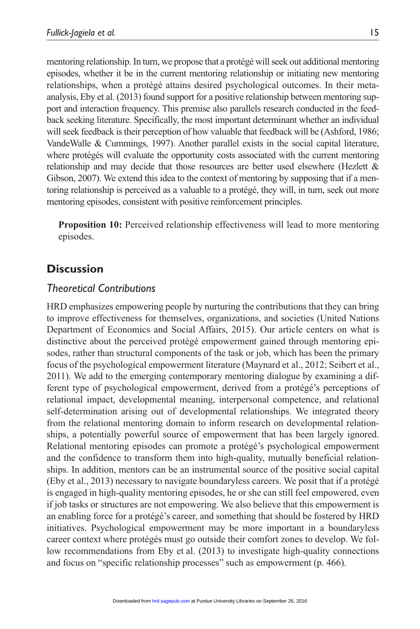mentoring relationship. In turn, we propose that a protégé will seek out additional mentoring episodes, whether it be in the current mentoring relationship or initiating new mentoring relationships, when a protégé attains desired psychological outcomes. In their metaanalysis, Eby et al. (2013) found support for a positive relationship between mentoring support and interaction frequency. This premise also parallels research conducted in the feedback seeking literature. Specifically, the most important determinant whether an individual will seek feedback is their perception of how valuable that feedback will be (Ashford, 1986; VandeWalle & Cummings, 1997). Another parallel exists in the social capital literature, where protégés will evaluate the opportunity costs associated with the current mentoring relationship and may decide that those resources are better used elsewhere (Hezlett & Gibson, 2007). We extend this idea to the context of mentoring by supposing that if a mentoring relationship is perceived as a valuable to a protégé, they will, in turn, seek out more mentoring episodes, consistent with positive reinforcement principles.

**Proposition 10:** Perceived relationship effectiveness will lead to more mentoring episodes.

# **Discussion**

#### *Theoretical Contributions*

HRD emphasizes empowering people by nurturing the contributions that they can bring to improve effectiveness for themselves, organizations, and societies (United Nations Department of Economics and Social Affairs, 2015). Our article centers on what is distinctive about the perceived protégé empowerment gained through mentoring episodes, rather than structural components of the task or job, which has been the primary focus of the psychological empowerment literature (Maynard et al., 2012; Seibert et al., 2011). We add to the emerging contemporary mentoring dialogue by examining a different type of psychological empowerment, derived from a protégé's perceptions of relational impact, developmental meaning, interpersonal competence, and relational self-determination arising out of developmental relationships. We integrated theory from the relational mentoring domain to inform research on developmental relationships, a potentially powerful source of empowerment that has been largely ignored. Relational mentoring episodes can promote a protégé's psychological empowerment and the confidence to transform them into high-quality, mutually beneficial relationships. In addition, mentors can be an instrumental source of the positive social capital (Eby et al., 2013) necessary to navigate boundaryless careers. We posit that if a protégé is engaged in high-quality mentoring episodes, he or she can still feel empowered, even if job tasks or structures are not empowering. We also believe that this empowerment is an enabling force for a protégé's career, and something that should be fostered by HRD initiatives. Psychological empowerment may be more important in a boundaryless career context where protégés must go outside their comfort zones to develop. We follow recommendations from Eby et al. (2013) to investigate high-quality connections and focus on "specific relationship processes" such as empowerment (p. 466).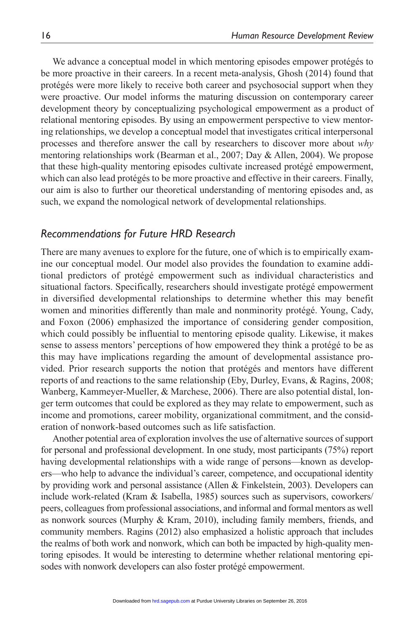We advance a conceptual model in which mentoring episodes empower protégés to be more proactive in their careers. In a recent meta-analysis, Ghosh (2014) found that protégés were more likely to receive both career and psychosocial support when they were proactive. Our model informs the maturing discussion on contemporary career development theory by conceptualizing psychological empowerment as a product of relational mentoring episodes. By using an empowerment perspective to view mentoring relationships, we develop a conceptual model that investigates critical interpersonal processes and therefore answer the call by researchers to discover more about *why* mentoring relationships work (Bearman et al., 2007; Day & Allen, 2004). We propose that these high-quality mentoring episodes cultivate increased protégé empowerment, which can also lead protégés to be more proactive and effective in their careers. Finally, our aim is also to further our theoretical understanding of mentoring episodes and, as such, we expand the nomological network of developmental relationships.

#### *Recommendations for Future HRD Research*

There are many avenues to explore for the future, one of which is to empirically examine our conceptual model. Our model also provides the foundation to examine additional predictors of protégé empowerment such as individual characteristics and situational factors. Specifically, researchers should investigate protégé empowerment in diversified developmental relationships to determine whether this may benefit women and minorities differently than male and nonminority protégé. Young, Cady, and Foxon (2006) emphasized the importance of considering gender composition, which could possibly be influential to mentoring episode quality. Likewise, it makes sense to assess mentors' perceptions of how empowered they think a protégé to be as this may have implications regarding the amount of developmental assistance provided. Prior research supports the notion that protégés and mentors have different reports of and reactions to the same relationship (Eby, Durley, Evans, & Ragins, 2008; Wanberg, Kammeyer-Mueller, & Marchese, 2006). There are also potential distal, longer term outcomes that could be explored as they may relate to empowerment, such as income and promotions, career mobility, organizational commitment, and the consideration of nonwork-based outcomes such as life satisfaction.

Another potential area of exploration involves the use of alternative sources of support for personal and professional development. In one study, most participants (75%) report having developmental relationships with a wide range of persons—known as developers—who help to advance the individual's career, competence, and occupational identity by providing work and personal assistance (Allen & Finkelstein, 2003). Developers can include work-related (Kram & Isabella, 1985) sources such as supervisors, coworkers/ peers, colleagues from professional associations, and informal and formal mentors as well as nonwork sources (Murphy & Kram, 2010), including family members, friends, and community members. Ragins (2012) also emphasized a holistic approach that includes the realms of both work and nonwork, which can both be impacted by high-quality mentoring episodes. It would be interesting to determine whether relational mentoring episodes with nonwork developers can also foster protégé empowerment.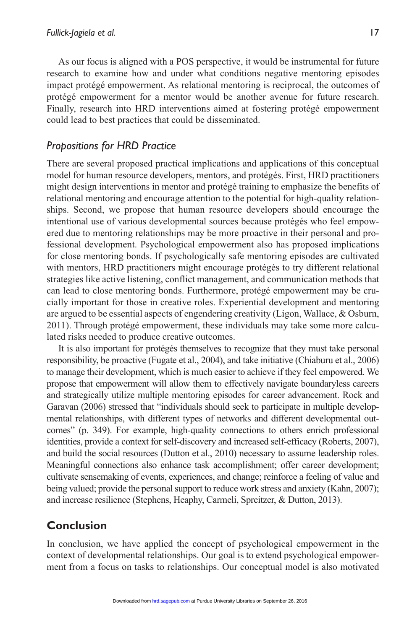As our focus is aligned with a POS perspective, it would be instrumental for future research to examine how and under what conditions negative mentoring episodes impact protégé empowerment. As relational mentoring is reciprocal, the outcomes of protégé empowerment for a mentor would be another avenue for future research. Finally, research into HRD interventions aimed at fostering protégé empowerment could lead to best practices that could be disseminated.

### *Propositions for HRD Practice*

There are several proposed practical implications and applications of this conceptual model for human resource developers, mentors, and protégés. First, HRD practitioners might design interventions in mentor and protégé training to emphasize the benefits of relational mentoring and encourage attention to the potential for high-quality relationships. Second, we propose that human resource developers should encourage the intentional use of various developmental sources because protégés who feel empowered due to mentoring relationships may be more proactive in their personal and professional development. Psychological empowerment also has proposed implications for close mentoring bonds. If psychologically safe mentoring episodes are cultivated with mentors, HRD practitioners might encourage protégés to try different relational strategies like active listening, conflict management, and communication methods that can lead to close mentoring bonds. Furthermore, protégé empowerment may be crucially important for those in creative roles. Experiential development and mentoring are argued to be essential aspects of engendering creativity (Ligon, Wallace, & Osburn, 2011). Through protégé empowerment, these individuals may take some more calculated risks needed to produce creative outcomes.

It is also important for protégés themselves to recognize that they must take personal responsibility, be proactive (Fugate et al., 2004), and take initiative (Chiaburu et al., 2006) to manage their development, which is much easier to achieve if they feel empowered. We propose that empowerment will allow them to effectively navigate boundaryless careers and strategically utilize multiple mentoring episodes for career advancement. Rock and Garavan (2006) stressed that "individuals should seek to participate in multiple developmental relationships, with different types of networks and different developmental outcomes" (p. 349). For example, high-quality connections to others enrich professional identities, provide a context for self-discovery and increased self-efficacy (Roberts, 2007), and build the social resources (Dutton et al., 2010) necessary to assume leadership roles. Meaningful connections also enhance task accomplishment; offer career development; cultivate sensemaking of events, experiences, and change; reinforce a feeling of value and being valued; provide the personal support to reduce work stress and anxiety (Kahn, 2007); and increase resilience (Stephens, Heaphy, Carmeli, Spreitzer, & Dutton, 2013).

# **Conclusion**

In conclusion, we have applied the concept of psychological empowerment in the context of developmental relationships. Our goal is to extend psychological empowerment from a focus on tasks to relationships. Our conceptual model is also motivated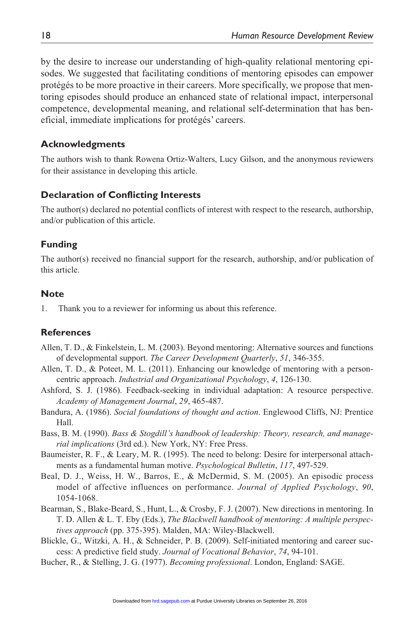by the desire to increase our understanding of high-quality relational mentoring episodes. We suggested that facilitating conditions of mentoring episodes can empower protégés to be more proactive in their careers. More specifically, we propose that mentoring episodes should produce an enhanced state of relational impact, interpersonal competence, developmental meaning, and relational self-determination that has beneficial, immediate implications for protégés' careers.

#### **Acknowledgments**

The authors wish to thank Rowena Ortiz-Walters, Lucy Gilson, and the anonymous reviewers for their assistance in developing this article.

#### **Declaration of Conflicting Interests**

The author(s) declared no potential conflicts of interest with respect to the research, authorship, and/or publication of this article.

#### **Funding**

The author(s) received no financial support for the research, authorship, and/or publication of this article.

#### **Note**

1. Thank you to a reviewer for informing us about this reference.

#### **References**

- Allen, T. D., & Finkelstein, L. M. (2003). Beyond mentoring: Alternative sources and functions of developmental support. *The Career Development Quarterly*, *51*, 346-355.
- Allen, T. D., & Poteet, M. L. (2011). Enhancing our knowledge of mentoring with a personcentric approach. *Industrial and Organizational Psychology*, *4*, 126-130.
- Ashford, S. J. (1986). Feedback-seeking in individual adaptation: A resource perspective. *Academy of Management Journal*, *29*, 465-487.
- Bandura, A. (1986). *Social foundations of thought and action*. Englewood Cliffs, NJ: Prentice Hall.
- Bass, B. M. (1990). *Bass & Stogdill's handbook of leadership: Theory, research, and managerial implications* (3rd ed.). New York, NY: Free Press.
- Baumeister, R. F., & Leary, M. R. (1995). The need to belong: Desire for interpersonal attachments as a fundamental human motive. *Psychological Bulletin*, *117*, 497-529.
- Beal, D. J., Weiss, H. W., Barros, E., & McDermid, S. M. (2005). An episodic process model of affective influences on performance. *Journal of Applied Psychology*, *90*, 1054-1068.
- Bearman, S., Blake-Beard, S., Hunt, L., & Crosby, F. J. (2007). New directions in mentoring. In T. D. Allen & L. T. Eby (Eds.), *The Blackwell handbook of mentoring: A multiple perspectives approach* (pp. 375-395). Malden, MA: Wiley-Blackwell.
- Blickle, G., Witzki, A. H., & Schneider, P. B. (2009). Self-initiated mentoring and career success: A predictive field study. *Journal of Vocational Behavior*, *74*, 94-101.
- Bucher, R., & Stelling, J. G. (1977). *Becoming professional*. London, England: SAGE.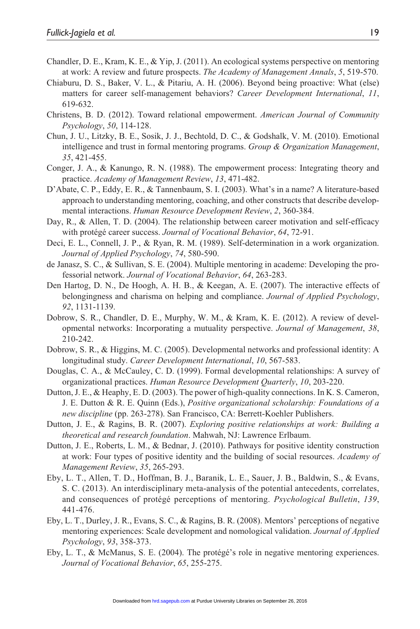- Chandler, D. E., Kram, K. E., & Yip, J. (2011). An ecological systems perspective on mentoring at work: A review and future prospects. *The Academy of Management Annals*, *5*, 519-570.
- Chiaburu, D. S., Baker, V. L., & Pitariu, A. H. (2006). Beyond being proactive: What (else) matters for career self-management behaviors? *Career Development International*, *11*, 619-632.
- Christens, B. D. (2012). Toward relational empowerment. *American Journal of Community Psychology*, *50*, 114-128.
- Chun, J. U., Litzky, B. E., Sosik, J. J., Bechtold, D. C., & Godshalk, V. M. (2010). Emotional intelligence and trust in formal mentoring programs. *Group & Organization Management*, *35*, 421-455.
- Conger, J. A., & Kanungo, R. N. (1988). The empowerment process: Integrating theory and practice. *Academy of Management Review*, *13*, 471-482.
- D'Abate, C. P., Eddy, E. R., & Tannenbaum, S. I. (2003). What's in a name? A literature-based approach to understanding mentoring, coaching, and other constructs that describe developmental interactions. *Human Resource Development Review*, *2*, 360-384.
- Day, R., & Allen, T. D. (2004). The relationship between career motivation and self-efficacy with protégé career success. *Journal of Vocational Behavior*, *64*, 72-91.
- Deci, E. L., Connell, J. P., & Ryan, R. M. (1989). Self-determination in a work organization. *Journal of Applied Psychology*, *74*, 580-590.
- de Janasz, S. C., & Sullivan, S. E. (2004). Multiple mentoring in academe: Developing the professorial network. *Journal of Vocational Behavior*, *64*, 263-283.
- Den Hartog, D. N., De Hoogh, A. H. B., & Keegan, A. E. (2007). The interactive effects of belongingness and charisma on helping and compliance. *Journal of Applied Psychology*, *92*, 1131-1139.
- Dobrow, S. R., Chandler, D. E., Murphy, W. M., & Kram, K. E. (2012). A review of developmental networks: Incorporating a mutuality perspective. *Journal of Management*, *38*, 210-242.
- Dobrow, S. R., & Higgins, M. C. (2005). Developmental networks and professional identity: A longitudinal study. *Career Development International*, *10*, 567-583.
- Douglas, C. A., & McCauley, C. D. (1999). Formal developmental relationships: A survey of organizational practices. *Human Resource Development Quarterly*, *10*, 203-220.
- Dutton, J. E., & Heaphy, E. D. (2003). The power of high-quality connections. In K. S. Cameron, J. E. Dutton & R. E. Quinn (Eds.), *Positive organizational scholarship: Foundations of a new discipline* (pp. 263-278). San Francisco, CA: Berrett-Koehler Publishers.
- Dutton, J. E., & Ragins, B. R. (2007). *Exploring positive relationships at work: Building a theoretical and research foundation*. Mahwah, NJ: Lawrence Erlbaum.
- Dutton, J. E., Roberts, L. M., & Bednar, J. (2010). Pathways for positive identity construction at work: Four types of positive identity and the building of social resources. *Academy of Management Review*, *35*, 265-293.
- Eby, L. T., Allen, T. D., Hoffman, B. J., Baranik, L. E., Sauer, J. B., Baldwin, S., & Evans, S. C. (2013). An interdisciplinary meta-analysis of the potential antecedents, correlates, and consequences of protégé perceptions of mentoring. *Psychological Bulletin*, *139*, 441-476.
- Eby, L. T., Durley, J. R., Evans, S. C., & Ragins, B. R. (2008). Mentors' perceptions of negative mentoring experiences: Scale development and nomological validation. *Journal of Applied Psychology*, *93*, 358-373.
- Eby, L. T., & McManus, S. E. (2004). The protégé's role in negative mentoring experiences. *Journal of Vocational Behavior*, *65*, 255-275.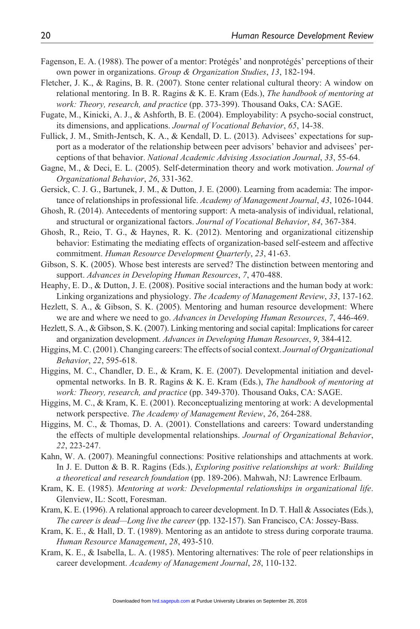- Fagenson, E. A. (1988). The power of a mentor: Protégés' and nonprotégés' perceptions of their own power in organizations. *Group & Organization Studies*, *13*, 182-194.
- Fletcher, J. K., & Ragins, B. R. (2007). Stone center relational cultural theory: A window on relational mentoring. In B. R. Ragins & K. E. Kram (Eds.), *The handbook of mentoring at work: Theory, research, and practice* (pp. 373-399). Thousand Oaks, CA: SAGE.
- Fugate, M., Kinicki, A. J., & Ashforth, B. E. (2004). Employability: A psycho-social construct, its dimensions, and applications. *Journal of Vocational Behavior*, *65*, 14-38.
- Fullick, J. M., Smith-Jentsch, K. A., & Kendall, D. L. (2013). Advisees' expectations for support as a moderator of the relationship between peer advisors' behavior and advisees' perceptions of that behavior. *National Academic Advising Association Journal*, *33*, 55-64.
- Gagne, M., & Deci, E. L. (2005). Self-determination theory and work motivation. *Journal of Organizational Behavior*, *26*, 331-362.
- Gersick, C. J. G., Bartunek, J. M., & Dutton, J. E. (2000). Learning from academia: The importance of relationships in professional life. *Academy of Management Journal*, *43*, 1026-1044.
- Ghosh, R. (2014). Antecedents of mentoring support: A meta-analysis of individual, relational, and structural or organizational factors. *Journal of Vocational Behavior*, *84*, 367-384.
- Ghosh, R., Reio, T. G., & Haynes, R. K. (2012). Mentoring and organizational citizenship behavior: Estimating the mediating effects of organization-based self-esteem and affective commitment. *Human Resource Development Quarterly*, *23*, 41-63.
- Gibson, S. K. (2005). Whose best interests are served? The distinction between mentoring and support. *Advances in Developing Human Resources*, *7*, 470-488.
- Heaphy, E. D., & Dutton, J. E. (2008). Positive social interactions and the human body at work: Linking organizations and physiology. *The Academy of Management Review*, *33*, 137-162.
- Hezlett, S. A., & Gibson, S. K. (2005). Mentoring and human resource development: Where we are and where we need to go. *Advances in Developing Human Resources*, *7*, 446-469.
- Hezlett, S. A., & Gibson, S. K. (2007). Linking mentoring and social capital: Implications for career and organization development. *Advances in Developing Human Resources*, *9*, 384-412.
- Higgins, M. C. (2001). Changing careers: The effects of social context. *Journal of Organizational Behavior*, *22*, 595-618.
- Higgins, M. C., Chandler, D. E., & Kram, K. E. (2007). Developmental initiation and developmental networks. In B. R. Ragins & K. E. Kram (Eds.), *The handbook of mentoring at work: Theory, research, and practice* (pp. 349-370). Thousand Oaks, CA: SAGE.
- Higgins, M. C., & Kram, K. E. (2001). Reconceptualizing mentoring at work: A developmental network perspective. *The Academy of Management Review*, *26*, 264-288.
- Higgins, M. C., & Thomas, D. A. (2001). Constellations and careers: Toward understanding the effects of multiple developmental relationships. *Journal of Organizational Behavior*, *22*, 223-247.
- Kahn, W. A. (2007). Meaningful connections: Positive relationships and attachments at work. In J. E. Dutton & B. R. Ragins (Eds.), *Exploring positive relationships at work: Building a theoretical and research foundation* (pp. 189-206). Mahwah, NJ: Lawrence Erlbaum.
- Kram, K. E. (1985). *Mentoring at work: Developmental relationships in organizational life*. Glenview, IL: Scott, Foresman.
- Kram, K. E. (1996). A relational approach to career development. In D. T. Hall & Associates (Eds.), *The career is dead—Long live the career* (pp. 132-157). San Francisco, CA: Jossey-Bass.
- Kram, K. E., & Hall, D. T. (1989). Mentoring as an antidote to stress during corporate trauma. *Human Resource Management*, *28*, 493-510.
- Kram, K. E., & Isabella, L. A. (1985). Mentoring alternatives: The role of peer relationships in career development. *Academy of Management Journal*, *28*, 110-132.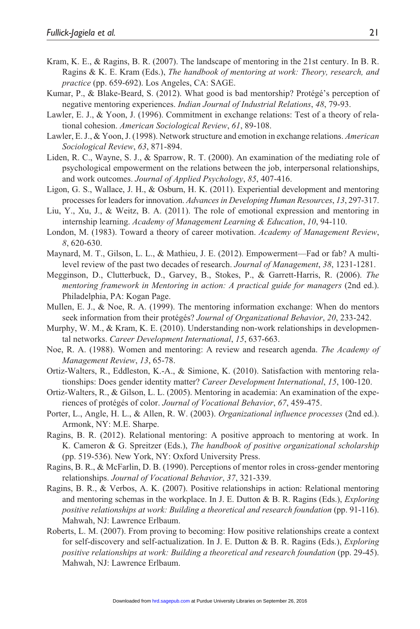- Kram, K. E., & Ragins, B. R. (2007). The landscape of mentoring in the 21st century. In B. R. Ragins & K. E. Kram (Eds.), *The handbook of mentoring at work: Theory, research, and practice* (pp. 659-692). Los Angeles, CA: SAGE.
- Kumar, P., & Blake-Beard, S. (2012). What good is bad mentorship? Protégé's perception of negative mentoring experiences. *Indian Journal of Industrial Relations*, *48*, 79-93.
- Lawler, E. J., & Yoon, J. (1996). Commitment in exchange relations: Test of a theory of relational cohesion. *American Sociological Review*, *61*, 89-108.
- Lawler, E. J., & Yoon, J. (1998). Network structure and emotion in exchange relations. *American Sociological Review*, *63*, 871-894.
- Liden, R. C., Wayne, S. J., & Sparrow, R. T. (2000). An examination of the mediating role of psychological empowerment on the relations between the job, interpersonal relationships, and work outcomes. *Journal of Applied Psychology*, *85*, 407-416.
- Ligon, G. S., Wallace, J. H., & Osburn, H. K. (2011). Experiential development and mentoring processes for leaders for innovation. *Advances in Developing Human Resources*, *13*, 297-317.
- Liu, Y., Xu, J., & Weitz, B. A. (2011). The role of emotional expression and mentoring in internship learning. *Academy of Management Learning & Education*, *10*, 94-110.
- London, M. (1983). Toward a theory of career motivation. *Academy of Management Review*, *8*, 620-630.
- Maynard, M. T., Gilson, L. L., & Mathieu, J. E. (2012). Empowerment—Fad or fab? A multilevel review of the past two decades of research. *Journal of Management*, *38*, 1231-1281.
- Megginson, D., Clutterbuck, D., Garvey, B., Stokes, P., & Garrett-Harris, R. (2006). *The mentoring framework in Mentoring in action: A practical guide for managers* (2nd ed.). Philadelphia, PA: Kogan Page.
- Mullen, E. J., & Noe, R. A. (1999). The mentoring information exchange: When do mentors seek information from their protégés? *Journal of Organizational Behavior*, *20*, 233-242.
- Murphy, W. M., & Kram, K. E. (2010). Understanding non-work relationships in developmental networks. *Career Development International*, *15*, 637-663.
- Noe, R. A. (1988). Women and mentoring: A review and research agenda. *The Academy of Management Review*, *13*, 65-78.
- Ortiz-Walters, R., Eddleston, K.-A., & Simione, K. (2010). Satisfaction with mentoring relationships: Does gender identity matter? *Career Development International*, *15*, 100-120.
- Ortiz-Walters, R., & Gilson, L. L. (2005). Mentoring in academia: An examination of the experiences of protégés of color. *Journal of Vocational Behavior*, *67*, 459-475.
- Porter, L., Angle, H. L., & Allen, R. W. (2003). *Organizational influence processes* (2nd ed.). Armonk, NY: M.E. Sharpe.
- Ragins, B. R. (2012). Relational mentoring: A positive approach to mentoring at work. In K. Cameron & G. Spreitzer (Eds.), *The handbook of positive organizational scholarship* (pp. 519-536). New York, NY: Oxford University Press.
- Ragins, B. R., & McFarlin, D. B. (1990). Perceptions of mentor roles in cross-gender mentoring relationships. *Journal of Vocational Behavior*, *37*, 321-339.
- Ragins, B. R., & Verbos, A. K. (2007). Positive relationships in action: Relational mentoring and mentoring schemas in the workplace. In J. E. Dutton & B. R. Ragins (Eds.), *Exploring positive relationships at work: Building a theoretical and research foundation* (pp. 91-116). Mahwah, NJ: Lawrence Erlbaum.
- Roberts, L. M. (2007). From proving to becoming: How positive relationships create a context for self-discovery and self-actualization. In J. E. Dutton & B. R. Ragins (Eds.), *Exploring positive relationships at work: Building a theoretical and research foundation* (pp. 29-45). Mahwah, NJ: Lawrence Erlbaum.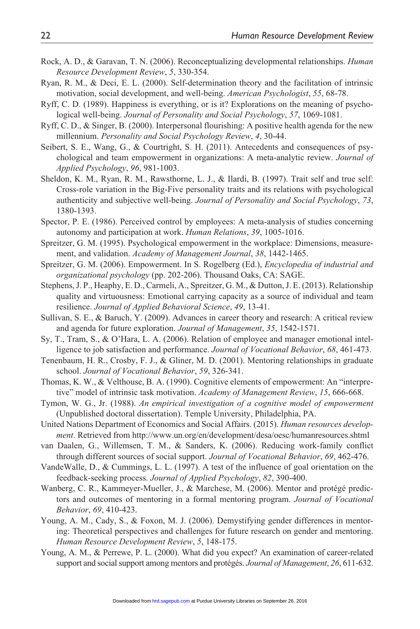- Rock, A. D., & Garavan, T. N. (2006). Reconceptualizing developmental relationships. *Human Resource Development Review*, *5*, 330-354.
- Ryan, R. M., & Deci, E. L. (2000). Self-determination theory and the facilitation of intrinsic motivation, social development, and well-being. *American Psychologist*, *55*, 68-78.
- Ryff, C. D. (1989). Happiness is everything, or is it? Explorations on the meaning of psychological well-being. *Journal of Personality and Social Psychology*, *57*, 1069-1081.
- Ryff, C. D., & Singer, B. (2000). Interpersonal flourishing: A positive health agenda for the new millennium. *Personality and Social Psychology Review*, *4*, 30-44.
- Seibert, S. E., Wang, G., & Courtright, S. H. (2011). Antecedents and consequences of psychological and team empowerment in organizations: A meta-analytic review. *Journal of Applied Psychology*, *96*, 981-1003.
- Sheldon, K. M., Ryan, R. M., Rawsthorne, L. J., & Ilardi, B. (1997). Trait self and true self: Cross-role variation in the Big-Five personality traits and its relations with psychological authenticity and subjective well-being. *Journal of Personality and Social Psychology*, *73*, 1380-1393.
- Spector, P. E. (1986). Perceived control by employees: A meta-analysis of studies concerning autonomy and participation at work. *Human Relations*, *39*, 1005-1016.
- Spreitzer, G. M. (1995). Psychological empowerment in the workplace: Dimensions, measurement, and validation. *Academy of Management Journal*, *38*, 1442-1465.
- Spreitzer, G. M. (2006). Empowerment. In S. Rogelberg (Ed.), *Encyclopedia of industrial and organizational psychology* (pp. 202-206). Thousand Oaks, CA: SAGE.
- Stephens, J. P., Heaphy, E. D., Carmeli, A., Spreitzer, G. M., & Dutton, J. E. (2013). Relationship quality and virtuousness: Emotional carrying capacity as a source of individual and team resilience. *Journal of Applied Behavioral Science*, *49*, 13-41.
- Sullivan, S. E., & Baruch, Y. (2009). Advances in career theory and research: A critical review and agenda for future exploration. *Journal of Management*, *35*, 1542-1571.
- Sy, T., Tram, S., & O'Hara, L. A. (2006). Relation of employee and manager emotional intelligence to job satisfaction and performance. *Journal of Vocational Behavior*, *68*, 461-473.
- Tenenbaum, H. R., Crosby, F. J., & Gliner, M. D. (2001). Mentoring relationships in graduate school. *Journal of Vocational Behavior*, *59*, 326-341.
- Thomas, K. W., & Velthouse, B. A. (1990). Cognitive elements of empowerment: An "interpretive" model of intrinsic task motivation. *Academy of Management Review*, *15*, 666-668.
- Tymon, W. G., Jr. (1988). *An empirical investigation of a cognitive model of empowerment* (Unpublished doctoral dissertation). Temple University, Philadelphia, PA.
- United Nations Department of Economics and Social Affairs. (2015). *Human resources development*. Retrieved from<http://www.un.org/en/development/desa/oesc/humanresources.shtml>
- van Daalen, G., Willemsen, T. M., & Sanders, K. (2006). Reducing work-family conflict through different sources of social support. *Journal of Vocational Behavior*, *69*, 462-476.
- VandeWalle, D., & Cummings, L. L. (1997). A test of the influence of goal orientation on the feedback-seeking process. *Journal of Applied Psychology*, *82*, 390-400.
- Wanberg, C. R., Kammeyer-Mueller, J., & Marchese, M. (2006). Mentor and protégé predictors and outcomes of mentoring in a formal mentoring program. *Journal of Vocational Behavior*, *69*, 410-423.
- Young, A. M., Cady, S., & Foxon, M. J. (2006). Demystifying gender differences in mentoring: Theoretical perspectives and challenges for future research on gender and mentoring. *Human Resource Development Review*, *5*, 148-175.
- Young, A. M., & Perrewe, P. L. (2000). What did you expect? An examination of career-related support and social support among mentors and protégés. *Journal of Management*, *26*, 611-632.